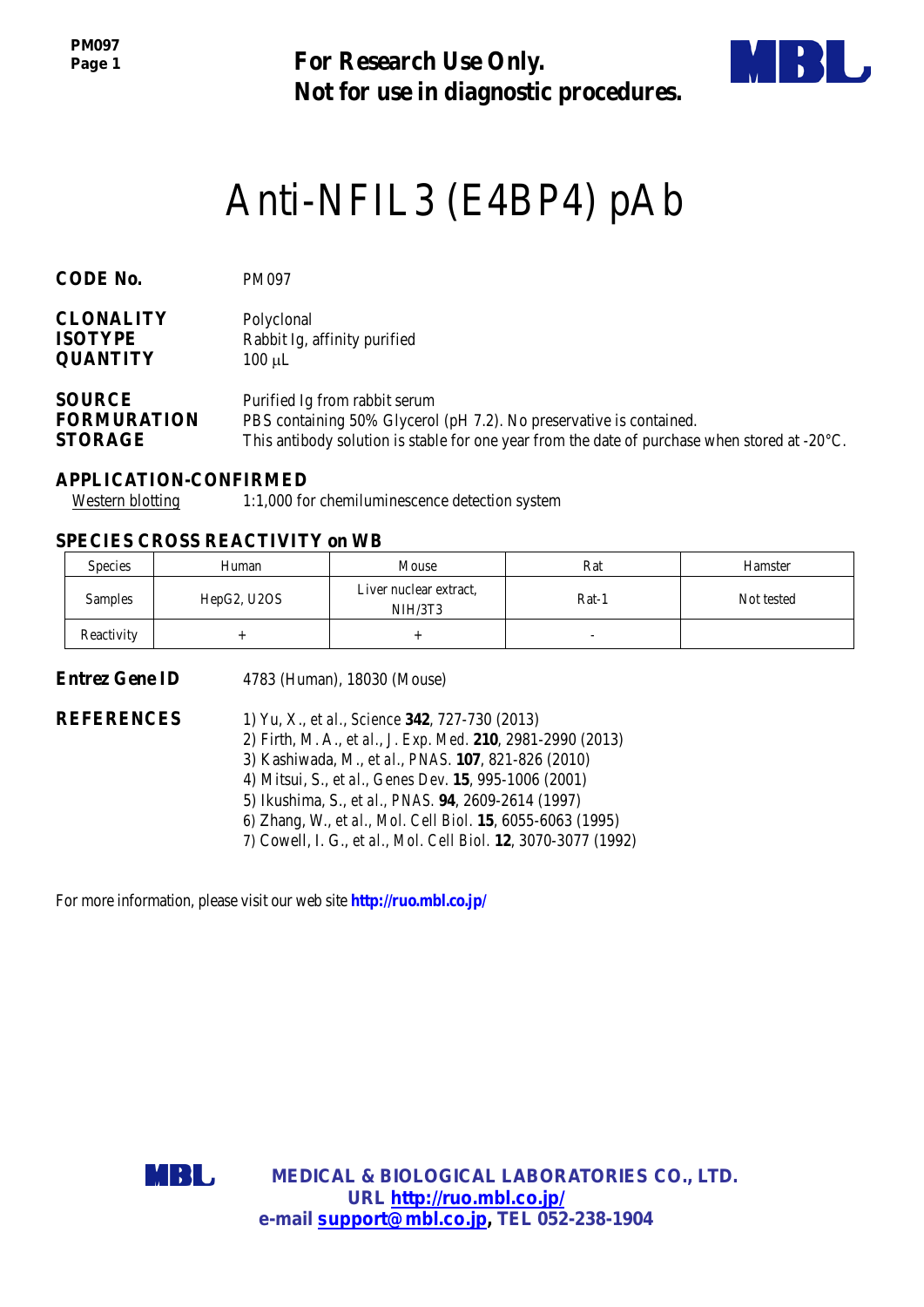*PM097 Page 1*

**For Research Use Only. Not for use in diagnostic procedures.**



# Anti-NFIL3 (E4BP4) pAb

| CODE No.           | <b>PM097</b>                                                                                            |
|--------------------|---------------------------------------------------------------------------------------------------------|
| <b>CLONALITY</b>   | Polyclonal                                                                                              |
| <b>ISOTYPE</b>     | Rabbit Ig, affinity purified                                                                            |
| <b>QUANTITY</b>    | $100 \mu L$                                                                                             |
| <b>SOURCE</b>      | Purified Ig from rabbit serum                                                                           |
| <b>FORMURATION</b> | PBS containing 50% Glycerol (pH 7.2). No preservative is contained.                                     |
| <b>STORAGE</b>     | This antibody solution is stable for one year from the date of purchase when stored at $-20^{\circ}$ C. |

## **APPLICATION-CONFIRMED**

Western blotting 1:1,000 for chemiluminescence detection system

## **SPECIES CROSS REACTIVITY on WB**

| <b>Species</b> | Human       | Mouse                             | Rat   | Hamster    |
|----------------|-------------|-----------------------------------|-------|------------|
| Samples        | HepG2, U2OS | Liver nuclear extract.<br>NIH/3T3 | Rat-1 | Not tested |
| Reactivity     |             |                                   |       |            |

**Entrez Gene ID** 4783 (Human), 18030 (Mouse)

- **REFERENCES** 1) Yu, X., *et al.*, *Science* **342**, 727-730 (2013)
	- 2) Firth, M. A., *et al.*, *[J. Exp. Med.](http://www.ncbi.nlm.nih.gov/pubmed/23376717)* **210**, 2981-2990 (2013)
	- 3) Kashiwada, M., *et al*., *PNAS*. **107**, 821-826 (2010)
	- 4) Mitsui, S., *et al., Genes Dev*. **15**, 995-1006 (2001)
	- 5) Ikushima, S., *et al., PNAS.* **94**, 2609-2614 (1997)
	- 6) Zhang, W., *et al., Mol. Cell Biol.* **15**, 6055-6063 (1995)
	- 7) Cowell, I. G., *et al., Mol. Cell Biol.* **12**, 3070-3077 (1992)

For more information, please visit our web site **http://ruo.mbl.co.jp/**



**MEDICAL & BIOLOGICAL LABORATORIES CO., LTD. URL [http://ruo.mbl.co.jp/](https://ruo.mbl.co.jp/je/rip-assay/) e-mail [support@mbl.co.jp,](mailto:support@mbl.co.jp) TEL 052-238-1904**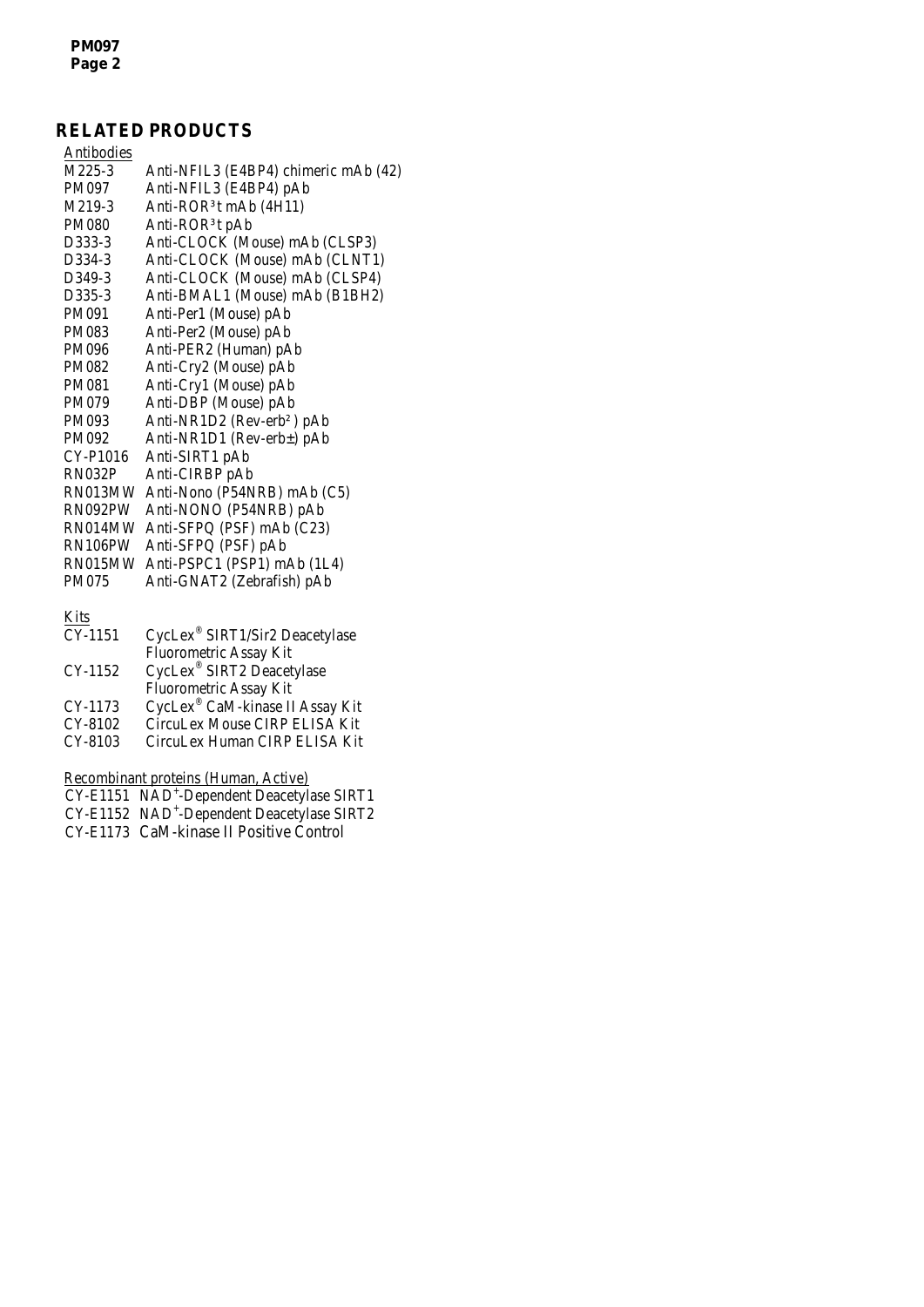## **RELATED PRODUCTS**

| Antibodies    |                                        |
|---------------|----------------------------------------|
| M225-3        | Anti-NFIL3 (E4BP4) chimeric mAb (42)   |
| <b>PM097</b>  | Anti-NFIL3 (E4BP4) pAb                 |
| M219-3        | Anti-ROR <sup>3</sup> t mAb $(4H11)$   |
| <b>PM080</b>  | Anti-ROR <sup>3</sup> t pAb            |
| D333-3        | Anti-CLOCK (Mouse) mAb (CLSP3)         |
| D334-3        | Anti-CLOCK (Mouse) mAb (CLNT1)         |
| D349-3        | Anti-CLOCK (Mouse) mAb (CLSP4)         |
| D335-3        | Anti-BMAL1 (Mouse) mAb (B1BH2)         |
| PM091         | Anti-Per1 (Mouse) pAb                  |
| <b>PM083</b>  | Anti-Per2 (Mouse) pAb                  |
| PM096         | Anti-PER2 (Human) pAb                  |
| <b>PM082</b>  | Anti-Cry2 (Mouse) pAb                  |
| <b>PM081</b>  | Anti-Cry1 (Mouse) pAb                  |
| PM079         | Anti-DBP (Mouse) pAb                   |
| PM093         | Anti-NR1D2 (Rev-erb <sup>2</sup> ) pAb |
| PM092         | Anti-NR1D1 (Rev-erb±) pAb              |
| CY-P1016      | Anti-SIRT1 pAb                         |
| <b>RN032P</b> | Anti-CIRBP pAb                         |
| RN013MW       | Anti-Nono (P54NRB) mAb (C5)            |
| RN092PW       | Anti-NONO (P54NRB) pAb                 |
| RN014MW       | Anti-SFPQ (PSF) mAb (C23)              |
| RN106PW       | Anti-SFPQ (PSF) pAb                    |
| RN015MW       | Anti-PSPC1 (PSP1) mAb (1L4)            |
| <b>PM075</b>  | Anti-GNAT2 (Zebrafish) pAb             |
|               |                                        |
|               |                                        |

Kits

| CycLex® SIRT1/Sir2 Deacetylase<br>CY-1151  |  |
|--------------------------------------------|--|
| Fluorometric Assay Kit                     |  |
| CycLex® SIRT2 Deacetylase<br>CY-1152       |  |
| Fluorometric Assay Kit                     |  |
| CycLex® CaM-kinase II Assay Kit<br>CY-1173 |  |
| CY-8102<br>CircuLex Mouse CIRP ELISA Kit   |  |
| CY-8103<br>CircuLex Human CIRP ELISA Kit   |  |

Recombinant proteins (Human, Active)

CY-E1151 NAD<sup>+</sup>[-Dependent Deacetylase SIRT1](http://ruo.mbl.co.jp/dtl/P/CY-E1151/)

CY-E1152 NAD<sup>+</sup>[-Dependent Deacetylase SIRT2](http://ruo.mbl.co.jp/dtl/P/CY-E1152/) CY-E1173 CaM-kinase II Positive Control